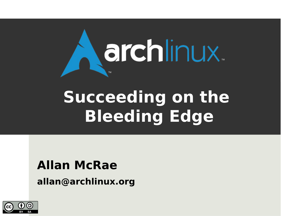

# **Succeeding on the Bleeding Edge**

#### **Allan McRae**

**allan@archlinux.org**

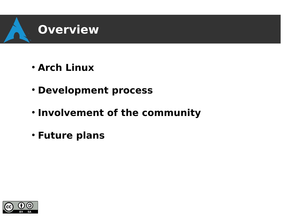

- **Arch Linux**
- **Development process**
- **. Involvement of the community**
- **Future plans**

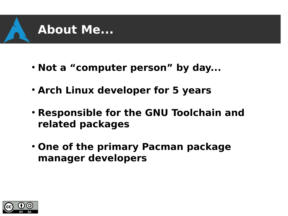

- Not a "computer person" by day...
- **Arch Linux developer for 5 years**
- **Responsible for the GNU Toolchain and related packages**
- **One of the primary Pacman package manager developers**

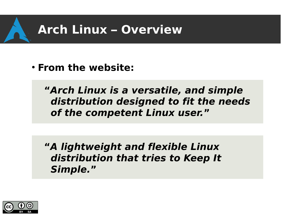

● **From the website:**

**"Arch Linux is a versatile, and simple distribution designed to fit the needs of the competent Linux user."**

**"A lightweight and flexible Linux distribution that tries to Keep It Simple."**

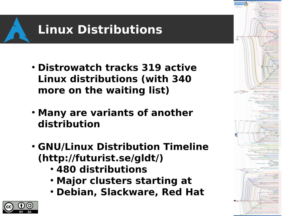

- **Distrowatch tracks 319 active Linux distributions (with 340 more on the waiting list)**
- **Many are variants of another distribution**
- **GNU/Linux Distribution Timeline ([http://futurist.se/gldt/\)](http://futurist.se/gldt/)**
	- **480 distributions**
	- **Major clusters starting at**
	- **Debian, Slackware, Red Hat**



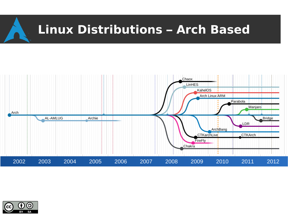



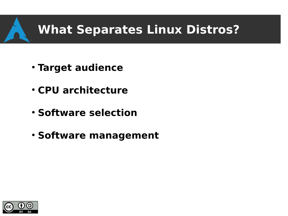- **Target audience**
- **CPU architecture**
- **Software selection**
- **Software management**

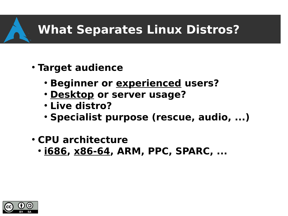- **Target audience**
	- **Beginner or experienced users?**
	- **Desktop or server usage?**
	- **Live distro?**
	- **Specialist purpose (rescue, audio, ...)**
- **CPU architecture**
	- **1686, x86-64, ARM, PPC, SPARC, ...**

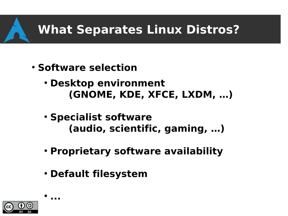- **Software selection**
	- **Desktop environment (GNOME, KDE, XFCE, LXDM, …)**
	- **Specialist software (audio, scientific, gaming, …)**
	- **Proprietary software availability**
	- **Default filesystem**



 $\bullet$ 

**...**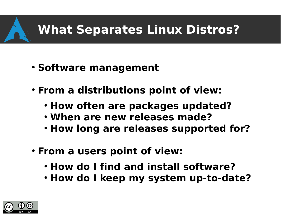- **Software management**
- **From a distributions point of view:**
	- **How often are packages updated?**
	- **When are new releases made?**
	- **How long are releases supported for?**
- **From a users point of view:** 
	- **How do I find and install software?**
	- **How do I keep my system up-to-date?**

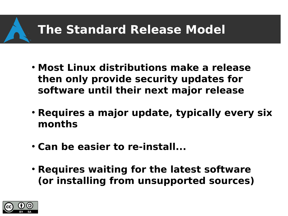#### **The Standard Release Model**

- **Most Linux distributions make a release then only provide security updates for software until their next major release**
- **Requires a major update, typically every six months**
- **Can be easier to re-install...**
- **Requires waiting for the latest software (or installing from unsupported sources)**

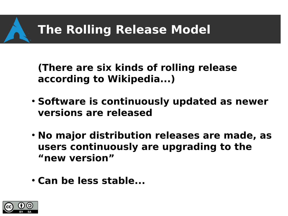#### **The Rolling Release Model**

**(There are six kinds of rolling release according to Wikipedia...)**

- **Software is continuously updated as newer versions are released**
- **No major distribution releases are made, as users continuously are upgrading to the "new version"**
- **Can be less stable...**

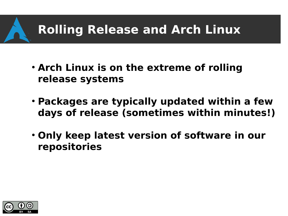#### **Rolling Release and Arch Linux**

- **Arch Linux is on the extreme of rolling release systems**
- **Packages are typically updated within a few days of release (sometimes within minutes!)**
- **Only keep latest version of software in our repositories**

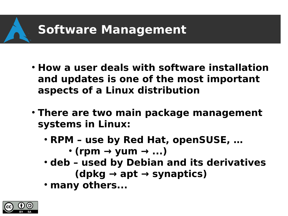#### **Software Management**

- **How a user deals with software installation and updates is one of the most important aspects of a Linux distribution**
- **There are two main package management systems in Linux:**
	- **RPM use by Red Hat, openSUSE, …**

 $\cdot$  (rpm  $\rightarrow$  yum  $\rightarrow$  ...)

- **deb used by Debian and its derivatives (dpkg → apt → synaptics)**
- many others...

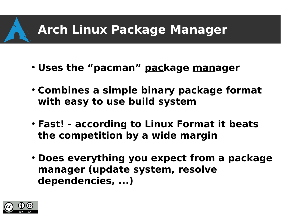#### **Arch Linux Package Manager**

- **Uses the "pacman" package manager**
- **Combines a simple binary package format with easy to use build system**
- **Fast! according to Linux Format it beats the competition by a wide margin**
- **Does everything you expect from a package manager (update system, resolve dependencies, ...)**

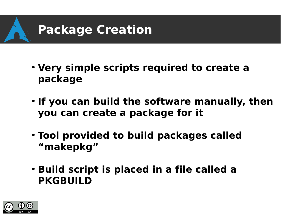

- **Very simple scripts required to create a package**
- **If you can build the software manually, then you can create a package for it**
- **Tool provided to build packages called "makepkg"**
- **Build script is placed in a file called a PKGBUILD**

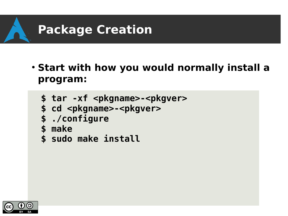

● **Start with how you would normally install a program:**

```
$ tar -xf <pkgname>-<pkgver>
```

```
$ cd <pkgname>-<pkgver>
```

```
$ ./configure
```
- **\$ make**
- **\$ sudo make install**

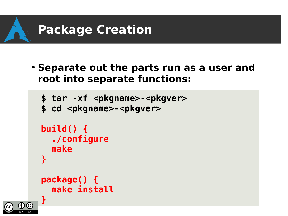

● **Separate out the parts run as a user and root into separate functions:**

```
$ tar -xf <pkgname>-<pkgver>
$ cd <pkgname>-<pkgver>
build() {
   ./configure
   make
}
package() {
   make install
```
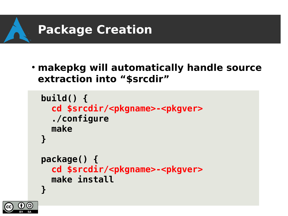

● **makepkg will automatically handle source extraction into "\$srcdir"**

```
build() {
   cd $srcdir/<pkgname>-<pkgver>
   ./configure
   make
}
package() {
   cd $srcdir/<pkgname>-<pkgver>
   make install
}
```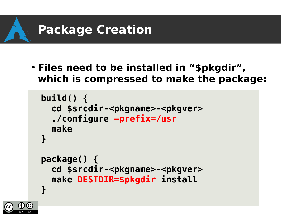

● **Files need to be installed in "\$pkgdir", which is compressed to make the package:**

```
build() {
   cd $srcdir-<pkgname>-<pkgver>
   ./configure –prefix=/usr
   make
}
package() {
   cd $srcdir-<pkgname>-<pkgver>
   make DESTDIR=$pkgdir install
}
```
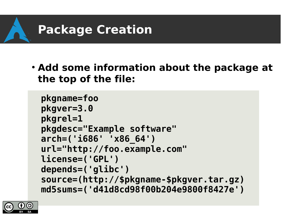

**• Add some information about the package at the top of the file:**

```
pkgname=foo
pkgver=3.0
pkgrel=1
pkgdesc="Example software"
arch=('i686' 'x86_64')
url="http://foo.example.com"
license=('GPL')
depends=('glibc')
source=(http://$pkgname-$pkgver.tar.gz)
md5sums=('d41d8cd98f00b204e9800f8427e')
```
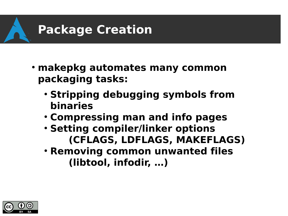

- **makepkg automates many common packaging tasks:**
	- **Stripping debugging symbols from binaries**
	- **Compressing man and info pages**
	- **Setting compiler/linker options (CFLAGS, LDFLAGS, MAKEFLAGS)**
	- **Removing common unwanted files (libtool, infodir, …)**

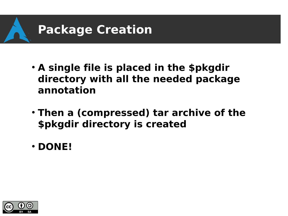

- **A single file is placed in the \$pkgdir directory with all the needed package annotation**
- **Then a (compressed) tar archive of the \$pkgdir directory is created**
- **DONE!**

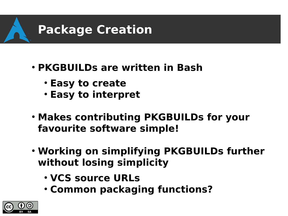

- **PKGBUILDs are written in Bash**
	- **Easy to create**
	- **Easy to interpret**
- **Makes contributing PKGBUILDs for your favourite software simple!**
- **Working on simplifying PKGBUILDs further without losing simplicity**
	- **VCS source URLs**
	- **Common packaging functions?**

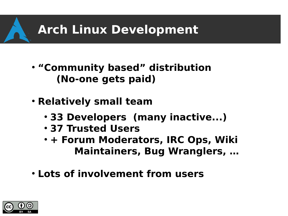#### **Arch Linux Development**

- **"Community based" distribution (No-one gets paid)**
- **Relatively small team**
	- 33 Developers (many inactive...)
	- **37 Trusted Users**
	- **+ Forum Moderators, IRC Ops, Wiki Maintainers, Bug Wranglers, …**
- **Lots of involvement from users**

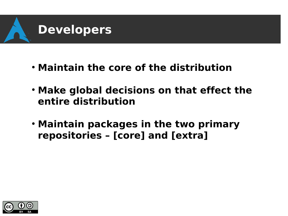

- **Maintain the core of the distribution**
- **Make global decisions on that effect the entire distribution**
- **Maintain packages in the two primary repositories – [core] and [extra]**

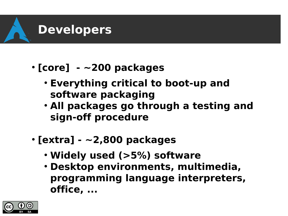

- **[core] ~200 packages**
	- **Everything critical to boot-up and software packaging**
	- **. All packages go through a testing and sign-off procedure**
- **[extra] ~2,800 packages**
	- Widely used (>5%) software
	- **Desktop environments, multimedia, programming language interpreters, office, ...**

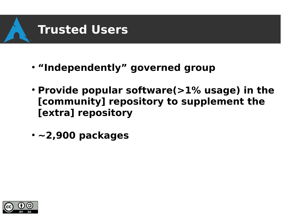

- **"Independently" governed group**
- **Provide popular software(>1% usage) in the [community] repository to supplement the [extra] repository**
- **~2,900 packages**

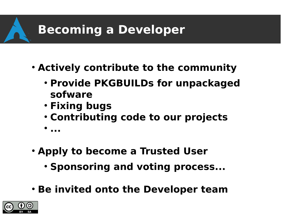#### **Becoming a Developer**

- **Actively contribute to the community** 
	- **Provide PKGBUILDs for unpackaged sofware**
	- **Fixing bugs**
	- **Contributing code to our projects**
	- $\bullet$ **...**
- **Apply to become a Trusted User** 
	- **Sponsoring and voting process...**
- **Be invited onto the Developer team**

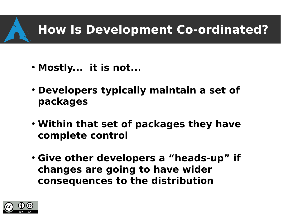#### **How Is Development Co-ordinated?**

- Mostly... it is not...
- **Developers typically maintain a set of packages**
- **Within that set of packages they have complete control**
- **Give other developers a "heads-up" if changes are going to have wider consequences to the distribution**

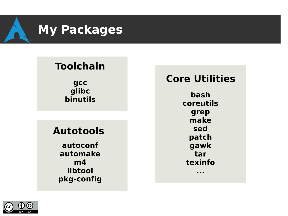

#### **Toolchain**

**gcc glibc binutils**

#### **Autotools**

**autoconf automake m4 libtool pkg-config**

#### **Core Utilities**

**bash coreutils grep make sed patch gawk tar texinfo ...**

(၁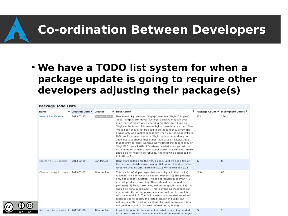#### **Co-ordination Between Developers**

#### ● **We have a TODO list system for when a package update is going to require other developers adjusting their package(s)**

#### **Package Todo Lists**

| Name                     | <b>≑</b> Creation Date ▼ Creator |               | $\div$ Description                                                                                                                                                                                                                                                                                                                                                                                                                                                                                                                                                                                                                                                                                                                                                                                                  |      | ≑ Package Count ≑ Incomplete Count ≑ |
|--------------------------|----------------------------------|---------------|---------------------------------------------------------------------------------------------------------------------------------------------------------------------------------------------------------------------------------------------------------------------------------------------------------------------------------------------------------------------------------------------------------------------------------------------------------------------------------------------------------------------------------------------------------------------------------------------------------------------------------------------------------------------------------------------------------------------------------------------------------------------------------------------------------------------|------|--------------------------------------|
| Mesa 9.1 unification     | 2013-02-23                       | Andreas Radke | New mesa pkg provides: 'libglapi' 'osmesa' 'libgbm' 'libgles'<br>'libegl' 'khrplatform-devel'. Configure checks may fail over<br>gl.pc (part of mesa) when checking for libGL.so(.1) and no<br>'libgl' can be found. Add mesa-libgl to makedepends then. New<br>'mesa-libgl' should not be used in the dependency array and<br>always only as a makedependency. Then your package links to<br>libGL.so.1 and needs generic 'libgl' runtime dependency to<br>allow users to choose mesa-libgl   nvidia-utils   catalyst-utils<br>that all provide 'libgl'. Namcap won't detect the dependency on<br>'libg!' !!! Fix your PKGBUILDs where needed when you will do<br>usual updates or users claim about broken abs rebuilds. There<br>should be no need to do rebuilds. The following packages link<br>to libGL.so.1: | 372  | 156                                  |
| libarchive 3.1.x rebuild | 2013-02-09                       | Dan McGee     | Don't start building for this yet, please, until we get a few of<br>the current rebuilds moved along. Will update this description<br>when we should start. libarchive.so.12 => libarchive.so.13                                                                                                                                                                                                                                                                                                                                                                                                                                                                                                                                                                                                                    | 32   | 8                                    |
| Clean-up \$pkgdir usage  | 2013-02-02                       | Allan McRae   | This is a list of all packages that use \$pkgdir in their build()<br>function. This can occur for several reasons: 1) The package<br>only has a build() function. This is deprecated in pacman-4.1<br>and will produce a warning. These should be changed to<br>package(). 2) Things are being written to \$pkgdir in build() that<br>should be done in package(). This is wrong as those files can<br>end up with the wrong permissions and will break completely<br>with pacman-4.1. 3) The build system is somewhat weird and<br>requires you to specify the install location in build(), but<br>nothing is written during this stage. For split packages, this is<br>not good as \$pkdir is not well defined during build()                                                                                     | 1094 | 68                                   |
| Add more to base-devel   | 2012-11-30                       | Allan McRae   | It would be good for base-devel to install everything needed<br>for a build chroot as base contains lots of unneeded packages.                                                                                                                                                                                                                                                                                                                                                                                                                                                                                                                                                                                                                                                                                      | 24   | 2                                    |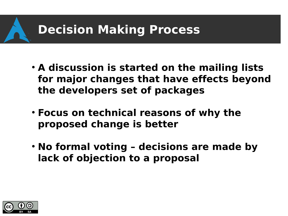#### **Decision Making Process**

- **A discussion is started on the mailing lists for major changes that have effects beyond the developers set of packages**
- **Focus on technical reasons of why the proposed change is better**
- **No formal voting decisions are made by lack of objection to a proposal**

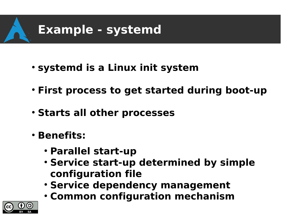

- **systemd is a Linux init system**
- **First process to get started during boot-up**
- **Starts all other processes**
- **Benefits:**
	- **Parallel start-up**
	- **Service start-up determined by simple configuration file**
	- **Service dependency management**
	- **Common configuration mechanism**

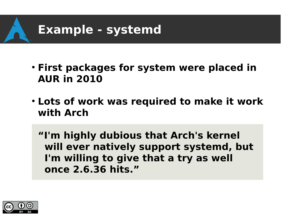

- **First packages for system were placed in AUR in 2010**
- **Lots of work was required to make it work with Arch**

**"I'm highly dubious that Arch's kernel will ever natively support systemd, but I'm willing to give that a try as well once 2.6.36 hits."**

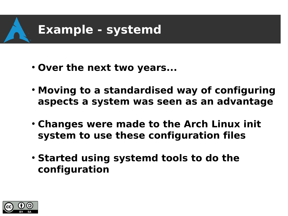

- Over the next two years...
- **Moving to a standardised way of configuring aspects a system was seen as an advantage**
- **Changes were made to the Arch Linux init system to use these configuration files**
- **Started using systemd tools to do the configuration**

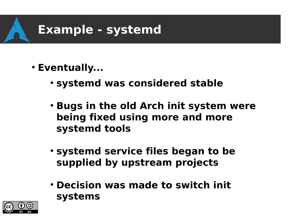

- **Eventually...**
	- **systemd was considered stable**
	- **Bugs in the old Arch init system were being fixed using more and more systemd tools**
	- **systemd service files began to be supplied by upstream projects**
	- **Decision was made to switch init systems**

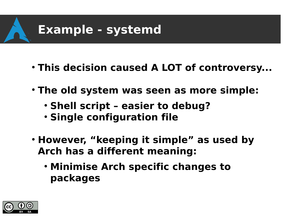

- **This decision caused A LOT of controversy...**
- **The old system was seen as more simple:** 
	- **Shell script easier to debug?**
	- **Single configuration file**
- **However, "keeping it simple" as used by Arch has a different meaning:**
	- **Minimise Arch specific changes to packages**

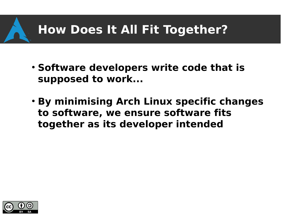#### **How Does It All Fit Together?**

- **Software developers write code that is supposed to work...**
- **By minimising Arch Linux specific changes to software, we ensure software fits together as its developer intended**

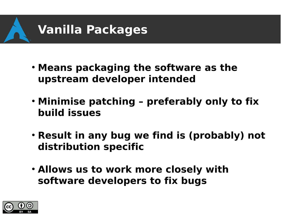

- **Means packaging the software as the upstream developer intended**
- Minimise patching preferably only to fix **build issues**
- **Result in any bug we find is (probably) not distribution specific**
- **Allows us to work more closely with software developers to fix bugs**

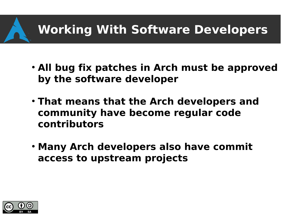## **Working With Software Developers**

- **All bug fix patches in Arch must be approved by the software developer**
- **That means that the Arch developers and community have become regular code contributors**
- **Many Arch developers also have commit access to upstream projects**

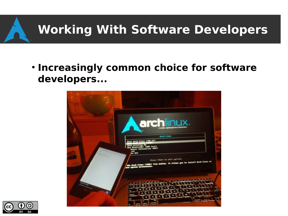## **Working With Software Developers**

**• Increasingly common choice for software developers...**



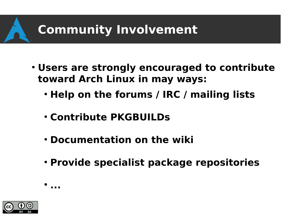#### **Community Involvement**

- **Users are strongly encouraged to contribute toward Arch Linux in may ways:**
	- **Help on the forums / IRC / mailing lists**
	- **Contribute PKGBUILDs**
	- **Documentation on the wiki**
	- **Provide specialist package repositories**



 $\bullet$ 

**...**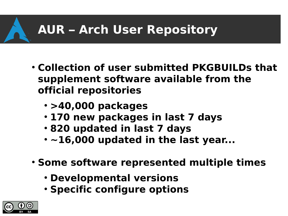## **AUR – Arch User Repository**

- **Collection of user submitted PKGBUILDs that supplement software available from the official repositories**
	- **>40,000 packages**
	- **170 new packages in last 7 days**
	- **820 updated in last 7 days**
	- $\cdot$   $\sim$ 16,000 updated in the last year...
- **Some software represented multiple times** 
	- **Developmental versions**
	- **Specific configure options**

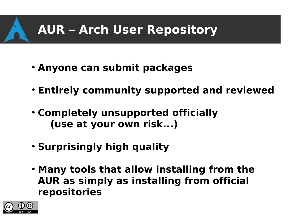## **AUR – Arch User Repository**

- **Anyone can submit packages**
- **Entirely community supported and reviewed**
- **Completely unsupported officially (use at your own risk...)**
- **Surprisingly high quality**
- **Many tools that allow installing from the AUR as simply as installing from official repositories**

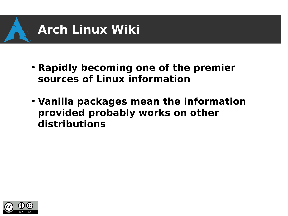

- **Rapidly becoming one of the premier sources of Linux information**
- **Vanilla packages mean the information provided probably works on other distributions**

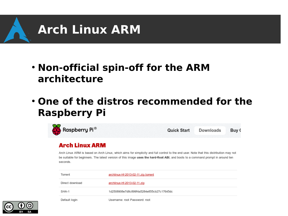

#### ● **Non-official spin-off for the ARM architecture**

**• One of the distros recommended for the Raspberry Pi**



Arch Linux ARM is based on Arch Linux, which aims for simplicity and full control to the end user. Note that this distribution may not be suitable for beginners. The latest version of this image uses the hard-float ABI, and boots to a command prompt in around ten seconds

| Torrent         | archlinux-hf-2013-02-11.zip.torrent      |
|-----------------|------------------------------------------|
| Direct download | archlinux-hf-2013-02-11.zip              |
| SHA-1           | 1d2508908e7d8c899f4a5284e855cb27c17645dc |
| Default login   | Username: root Password: root            |

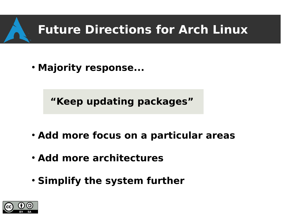#### **Future Directions for Arch Linux**

• Majority response...

**"Keep updating packages"**

- **Add more focus on a particular areas**
- **Add more architectures**
- **Simplify the system further**

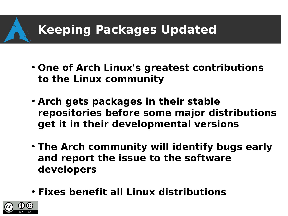#### **Keeping Packages Updated**

- **One of Arch Linux's greatest contributions to the Linux community**
- **Arch gets packages in their stable repositories before some major distributions get it in their developmental versions**
- **The Arch community will identify bugs early and report the issue to the software developers**
- **Fixes benefit all Linux distributions**

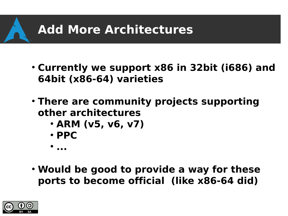### **Add More Architectures**

- **Currently we support x86 in 32bit (i686) and 64bit (x86-64) varieties**
- **There are community projects supporting other architectures**
	- **ARM (v5, v6, v7)**
	- **PPC**
	- $\bullet$ **...**
- **Would be good to provide a way for these ports to become official (like x86-64 did)**

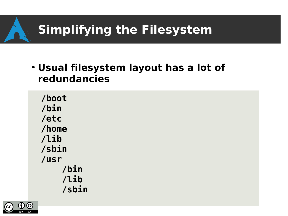● **Usual filesystem layout has a lot of redundancies**

**/boot /bin /etc /home /lib /sbin /usr /bin /lib /sbin**

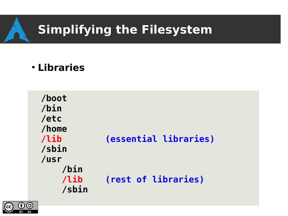● **Libraries**

**/boot /bin /etc /home /lib (essential libraries) /sbin /usr /bin /lib (rest of libraries) /sbin**

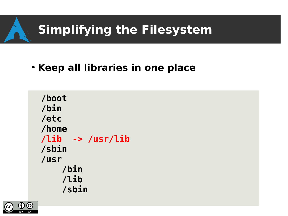#### **• Keep all libraries in one place**

**/boot /bin /etc /home /lib -> /usr/lib /sbin /usr /bin /lib /sbin**

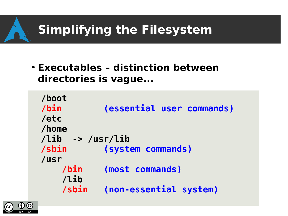● **Executables – distinction between directories is vague...**

| /boot               |                           |  |  |  |
|---------------------|---------------------------|--|--|--|
| /bin                | (essential user commands) |  |  |  |
| /etc                |                           |  |  |  |
| /home               |                           |  |  |  |
| /lib<br>-> /usr/lib |                           |  |  |  |
| /sbin               | (system commands)         |  |  |  |
| /usr                |                           |  |  |  |
| /bin                | (most commands)           |  |  |  |
| /lib                |                           |  |  |  |
| /sbin               | (non-essential system)    |  |  |  |
|                     |                           |  |  |  |

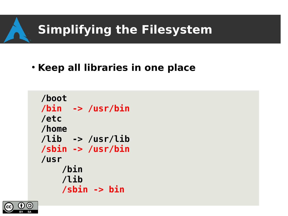#### **• Keep all libraries in one place**

**/boot /bin -> /usr/bin /etc /home /lib -> /usr/lib /sbin -> /usr/bin /usr /bin /lib /sbin -> bin**

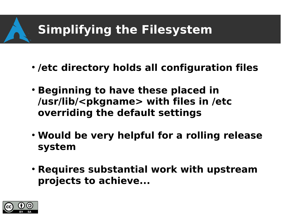- /etc directory holds all configuration files
- **Beginning to have these placed in /usr/lib/<pkgname> with files in /etc overriding the default settings**
- Would be very helpful for a rolling release **system**
- **Requires substantial work with upstream projects to achieve...**

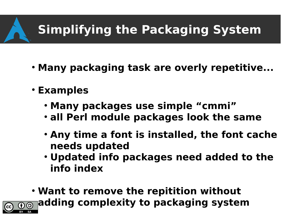## **Simplifying the Packaging System**

- Many packaging task are overly repetitive...
- **Examples**
	- **Many packages use simple "cmmi"**
	- **all Perl module packages look the same**
	- **Any time a font is installed, the font cache needs updated**
	- **Updated info packages need added to the info index**
- **Want to remove the repitition without adding complexity to packaging system** $\overline{\Theta}$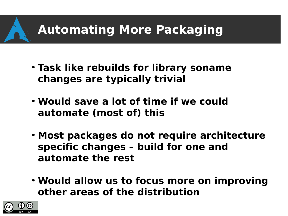### **Automating More Packaging**

- **Task like rebuilds for library soname changes are typically trivial**
- **Would save a lot of time if we could automate (most of) this**
- **Most packages do not require architecture specific changes – build for one and automate the rest**
- **Would allow us to focus more on improving other areas of the distribution**

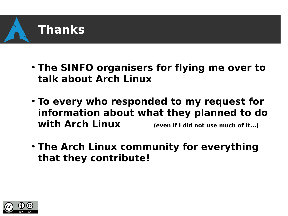

- **The SINFO organisers for flying me over to talk about Arch Linux**
- $\cdot$  To every who responded to my request for **information about what they planned to do with Arch Linux (even if I did not use much of it...)**
- **The Arch Linux community for everything that they contribute!**